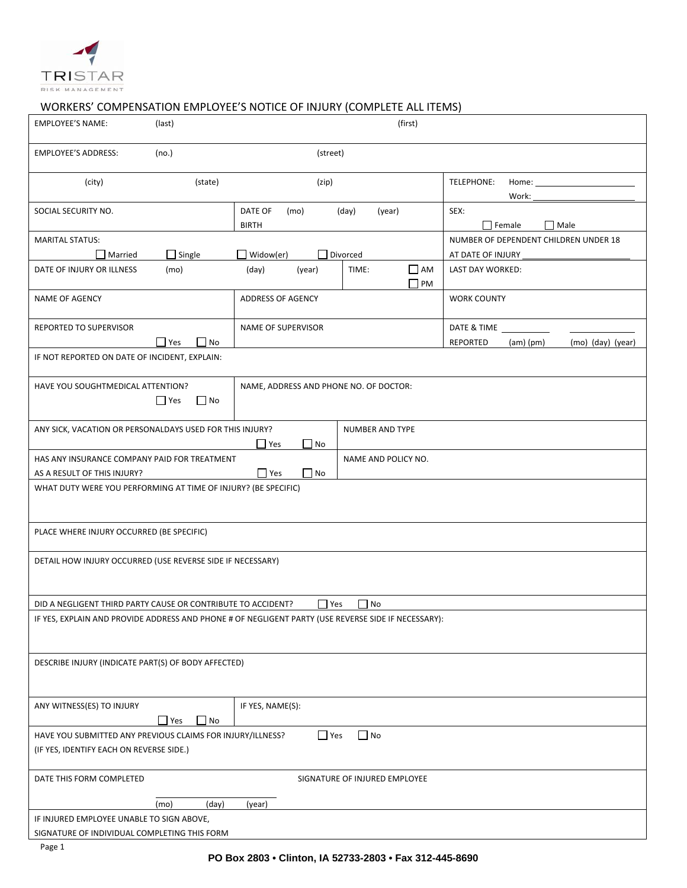

## WORKERS' COMPENSATION EMPLOYEE'S NOTICE OF INJURY (COMPLETE ALL ITEMS)

| <b>EMPLOYEE'S NAME:</b>                                                                                                           | (last)                       |                                          | (first)             |                           |                                                 |                   |  |
|-----------------------------------------------------------------------------------------------------------------------------------|------------------------------|------------------------------------------|---------------------|---------------------------|-------------------------------------------------|-------------------|--|
| <b>EMPLOYEE'S ADDRESS:</b>                                                                                                        | (no.)<br>(street)            |                                          |                     |                           |                                                 |                   |  |
| (city)                                                                                                                            | (state)                      | (zip)                                    |                     |                           | TELEPHONE:<br>Home:<br>Work:                    |                   |  |
| SOCIAL SECURITY NO.                                                                                                               |                              | DATE OF<br>(mo)<br><b>BIRTH</b>          | (day)<br>(year)     |                           | SEX:<br>$\Box$ Female                           | $\Box$ Male       |  |
| <b>MARITAL STATUS:</b>                                                                                                            |                              |                                          |                     |                           | NUMBER OF DEPENDENT CHILDREN UNDER 18           |                   |  |
| _ Married<br>DATE OF INJURY OR ILLNESS                                                                                            | $\Box$ Single<br>(mo)        | Widow(er)<br>Divorced<br>(day)<br>(year) | TIME:               | $\Box$ AM<br>$\square$ PM | AT DATE OF INJURY __<br><b>LAST DAY WORKED:</b> |                   |  |
| <b>NAME OF AGENCY</b>                                                                                                             |                              | <b>ADDRESS OF AGENCY</b>                 |                     |                           | <b>WORK COUNTY</b>                              |                   |  |
| REPORTED TO SUPERVISOR                                                                                                            |                              | <b>NAME OF SUPERVISOR</b>                |                     |                           | DATE & TIME                                     |                   |  |
| IF NOT REPORTED ON DATE OF INCIDENT, EXPLAIN:                                                                                     | $\Box$ Yes<br>$\Box$ No      |                                          |                     |                           | REPORTED<br>$(am)$ (pm)                         | (mo) (day) (year) |  |
| HAVE YOU SOUGHTMEDICAL ATTENTION?                                                                                                 | $\Box$ Yes<br>N <sub>0</sub> | NAME, ADDRESS AND PHONE NO. OF DOCTOR:   |                     |                           |                                                 |                   |  |
| ANY SICK, VACATION OR PERSONALDAYS USED FOR THIS INJURY?<br>NUMBER AND TYPE<br>$\Box$ Yes<br>No.                                  |                              |                                          |                     |                           |                                                 |                   |  |
| HAS ANY INSURANCE COMPANY PAID FOR TREATMENT                                                                                      |                              |                                          | NAME AND POLICY NO. |                           |                                                 |                   |  |
| $\Box$ Yes<br>$\Box$ No<br>AS A RESULT OF THIS INJURY?                                                                            |                              |                                          |                     |                           |                                                 |                   |  |
| WHAT DUTY WERE YOU PERFORMING AT TIME OF INJURY? (BE SPECIFIC)                                                                    |                              |                                          |                     |                           |                                                 |                   |  |
| PLACE WHERE INJURY OCCURRED (BE SPECIFIC)                                                                                         |                              |                                          |                     |                           |                                                 |                   |  |
| DETAIL HOW INJURY OCCURRED (USE REVERSE SIDE IF NECESSARY)                                                                        |                              |                                          |                     |                           |                                                 |                   |  |
| $\Box$ No<br>DID A NEGLIGENT THIRD PARTY CAUSE OR CONTRIBUTE TO ACCIDENT?<br>  Yes                                                |                              |                                          |                     |                           |                                                 |                   |  |
| IF YES, EXPLAIN AND PROVIDE ADDRESS AND PHONE # OF NEGLIGENT PARTY (USE REVERSE SIDE IF NECESSARY):                               |                              |                                          |                     |                           |                                                 |                   |  |
| DESCRIBE INJURY (INDICATE PART(S) OF BODY AFFECTED)                                                                               |                              |                                          |                     |                           |                                                 |                   |  |
| IF YES, NAME(S):<br>ANY WITNESS(ES) TO INJURY<br>$\Box$ Yes<br>$\Box$ No                                                          |                              |                                          |                     |                           |                                                 |                   |  |
| $\Box$ No<br>$\Box$ Yes<br>HAVE YOU SUBMITTED ANY PREVIOUS CLAIMS FOR INJURY/ILLNESS?<br>(IF YES, IDENTIFY EACH ON REVERSE SIDE.) |                              |                                          |                     |                           |                                                 |                   |  |
| DATE THIS FORM COMPLETED<br>SIGNATURE OF INJURED EMPLOYEE                                                                         |                              |                                          |                     |                           |                                                 |                   |  |
|                                                                                                                                   | (day)<br>(mo)                | (year)                                   |                     |                           |                                                 |                   |  |
| IF INJURED EMPLOYEE UNABLE TO SIGN ABOVE,                                                                                         |                              |                                          |                     |                           |                                                 |                   |  |
| SIGNATURE OF INDIVIDUAL COMPLETING THIS FORM                                                                                      |                              |                                          |                     |                           |                                                 |                   |  |

Page 1 and the state of the state of the state of the state of the state of the state of the state of the state of the state of the state of the state of the state of the state of the state of the state of the state of the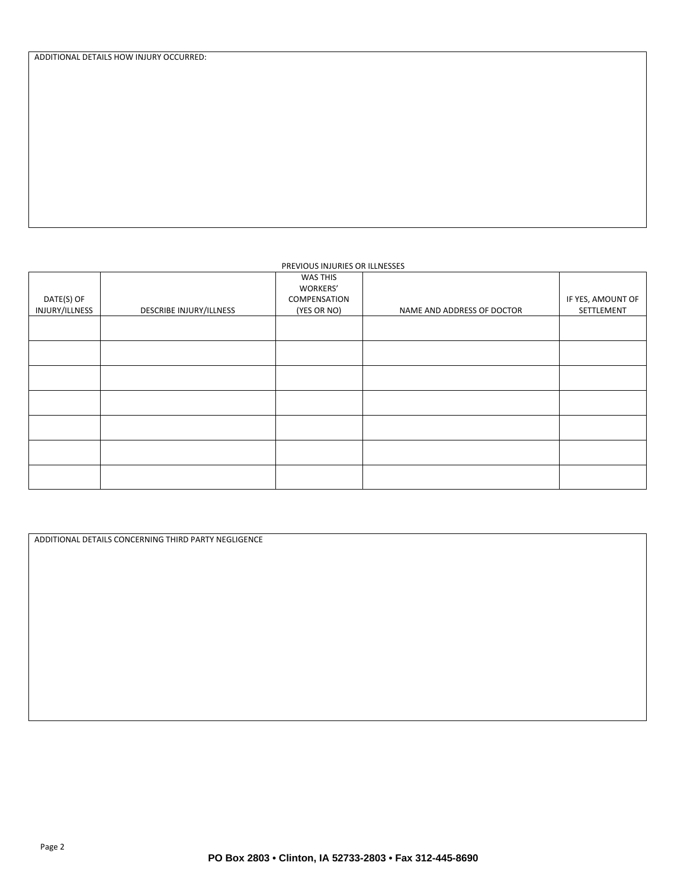ADDITIONAL DETAILS HOW INJURY OCCURRED:

#### PREVIOUS INJURIES OR ILLNESSES

| DATE(S) OF     |                         | WAS THIS<br>WORKERS'<br>COMPENSATION |                            | IF YES, AMOUNT OF |
|----------------|-------------------------|--------------------------------------|----------------------------|-------------------|
| INJURY/ILLNESS | DESCRIBE INJURY/ILLNESS | (YES OR NO)                          | NAME AND ADDRESS OF DOCTOR | SETTLEMENT        |
|                |                         |                                      |                            |                   |
|                |                         |                                      |                            |                   |
|                |                         |                                      |                            |                   |
|                |                         |                                      |                            |                   |
|                |                         |                                      |                            |                   |
|                |                         |                                      |                            |                   |
|                |                         |                                      |                            |                   |

ADDITIONAL DETAILS CONCERNING THIRD PARTY NEGLIGENCE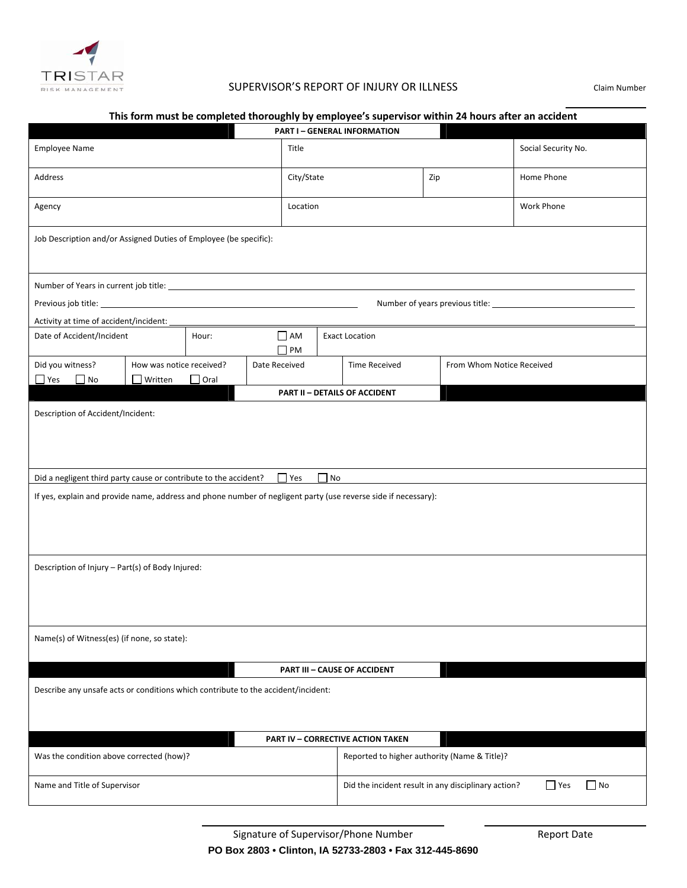

## SUPERVISOR'S REPORT OF INJURY OR ILLNESS Claim Number and the contract of the contract of the contract of the contract of the contract of the contract of the contract of

| This form must be completed thoroughly by employee's supervisor within 24 hours after an accident                                                                                                                                                          |                                                                                                                |             |               |            |                                      |                                              |            |  |
|------------------------------------------------------------------------------------------------------------------------------------------------------------------------------------------------------------------------------------------------------------|----------------------------------------------------------------------------------------------------------------|-------------|---------------|------------|--------------------------------------|----------------------------------------------|------------|--|
|                                                                                                                                                                                                                                                            | <b>PART I - GENERAL INFORMATION</b>                                                                            |             |               |            |                                      |                                              |            |  |
| <b>Employee Name</b>                                                                                                                                                                                                                                       |                                                                                                                |             | Title         |            |                                      | Social Security No.                          |            |  |
| Address                                                                                                                                                                                                                                                    |                                                                                                                |             |               | City/State |                                      | Zip                                          | Home Phone |  |
| Agency                                                                                                                                                                                                                                                     |                                                                                                                |             |               | Location   |                                      |                                              | Work Phone |  |
| Job Description and/or Assigned Duties of Employee (be specific):                                                                                                                                                                                          |                                                                                                                |             |               |            |                                      |                                              |            |  |
|                                                                                                                                                                                                                                                            |                                                                                                                |             |               |            |                                      |                                              |            |  |
| Previous job title: <u>contract the contract of the contract of the contract of the contract of the contract of the contract of the contract of the contract of the contract of the contract of the contract of the contract of </u>                       |                                                                                                                |             |               |            |                                      |                                              |            |  |
|                                                                                                                                                                                                                                                            |                                                                                                                |             |               |            |                                      |                                              |            |  |
| Activity at time of accident/incident:<br>Date of Accident/Incident                                                                                                                                                                                        |                                                                                                                | Hour:       |               | $\Box$ AM  | <b>Exact Location</b>                |                                              |            |  |
|                                                                                                                                                                                                                                                            |                                                                                                                |             |               | $\Box$ PM  |                                      |                                              |            |  |
| Did you witness?                                                                                                                                                                                                                                           | How was notice received?                                                                                       |             | Date Received |            | <b>Time Received</b>                 | From Whom Notice Received                    |            |  |
| $\Box$ Yes $\Box$ No                                                                                                                                                                                                                                       | $\Box$ Written                                                                                                 | $\Box$ Oral |               |            |                                      |                                              |            |  |
|                                                                                                                                                                                                                                                            |                                                                                                                |             |               |            | <b>PART II - DETAILS OF ACCIDENT</b> |                                              |            |  |
| Description of Accident/Incident:<br>Did a negligent third party cause or contribute to the accident?<br>$\Box$ No<br>$\blacksquare$ Yes<br>If yes, explain and provide name, address and phone number of negligent party (use reverse side if necessary): |                                                                                                                |             |               |            |                                      |                                              |            |  |
|                                                                                                                                                                                                                                                            |                                                                                                                |             |               |            |                                      |                                              |            |  |
| Description of Injury - Part(s) of Body Injured:                                                                                                                                                                                                           |                                                                                                                |             |               |            |                                      |                                              |            |  |
| Name(s) of Witness(es) (if none, so state):                                                                                                                                                                                                                |                                                                                                                |             |               |            |                                      |                                              |            |  |
| <b>PART III - CAUSE OF ACCIDENT</b>                                                                                                                                                                                                                        |                                                                                                                |             |               |            |                                      |                                              |            |  |
| Describe any unsafe acts or conditions which contribute to the accident/incident:                                                                                                                                                                          |                                                                                                                |             |               |            |                                      |                                              |            |  |
| <b>PART IV - CORRECTIVE ACTION TAKEN</b>                                                                                                                                                                                                                   |                                                                                                                |             |               |            |                                      |                                              |            |  |
| Was the condition above corrected (how)?                                                                                                                                                                                                                   |                                                                                                                |             |               |            |                                      | Reported to higher authority (Name & Title)? |            |  |
|                                                                                                                                                                                                                                                            | $\Box$ Yes<br>$\Box$ No<br>Name and Title of Supervisor<br>Did the incident result in any disciplinary action? |             |               |            |                                      |                                              |            |  |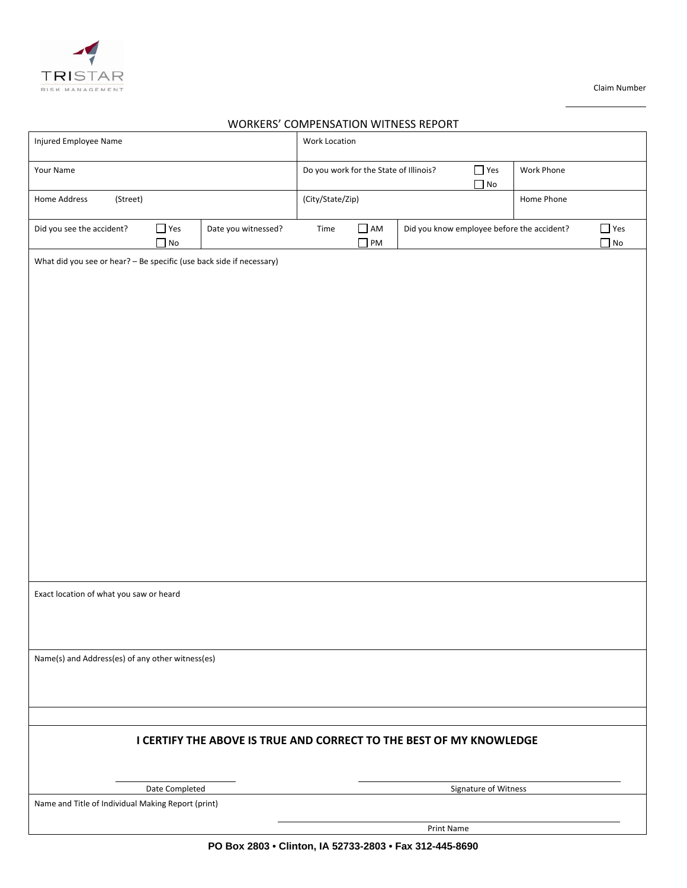

**Claim Number** Claim Number

# and the contract of the contract of the contract of the contract of the contract of the contract of the contract of WORKERS' COMPENSATION WITNESS REPORT

| Injured Employee Name                                                |                                                    |                     | <b>Work Location</b>                                                            |                        |            |                      |                                            |                         |
|----------------------------------------------------------------------|----------------------------------------------------|---------------------|---------------------------------------------------------------------------------|------------------------|------------|----------------------|--------------------------------------------|-------------------------|
| Your Name                                                            |                                                    |                     | $\Box$ Yes<br>Do you work for the State of Illinois?<br>Work Phone<br>$\Box$ No |                        |            |                      |                                            |                         |
| Home Address<br>(Street)                                             |                                                    |                     | (City/State/Zip)                                                                |                        |            |                      | Home Phone                                 |                         |
| Did you see the accident?                                            | $\Box$ Yes<br>$\Box$ No                            | Date you witnessed? | Time                                                                            | $\Box$ AM<br>$\Box$ PM |            |                      | Did you know employee before the accident? | $\Box$ Yes<br>$\Box$ No |
| What did you see or hear? - Be specific (use back side if necessary) |                                                    |                     |                                                                                 |                        |            |                      |                                            |                         |
|                                                                      |                                                    |                     |                                                                                 |                        |            |                      |                                            |                         |
|                                                                      |                                                    |                     |                                                                                 |                        |            |                      |                                            |                         |
|                                                                      |                                                    |                     |                                                                                 |                        |            |                      |                                            |                         |
|                                                                      |                                                    |                     |                                                                                 |                        |            |                      |                                            |                         |
|                                                                      |                                                    |                     |                                                                                 |                        |            |                      |                                            |                         |
|                                                                      |                                                    |                     |                                                                                 |                        |            |                      |                                            |                         |
|                                                                      |                                                    |                     |                                                                                 |                        |            |                      |                                            |                         |
|                                                                      |                                                    |                     |                                                                                 |                        |            |                      |                                            |                         |
|                                                                      |                                                    |                     |                                                                                 |                        |            |                      |                                            |                         |
|                                                                      |                                                    |                     |                                                                                 |                        |            |                      |                                            |                         |
|                                                                      |                                                    |                     |                                                                                 |                        |            |                      |                                            |                         |
| Exact location of what you saw or heard                              |                                                    |                     |                                                                                 |                        |            |                      |                                            |                         |
|                                                                      |                                                    |                     |                                                                                 |                        |            |                      |                                            |                         |
| Name(s) and Address(es) of any other witness(es)                     |                                                    |                     |                                                                                 |                        |            |                      |                                            |                         |
|                                                                      |                                                    |                     |                                                                                 |                        |            |                      |                                            |                         |
|                                                                      |                                                    |                     |                                                                                 |                        |            |                      |                                            |                         |
| I CERTIFY THE ABOVE IS TRUE AND CORRECT TO THE BEST OF MY KNOWLEDGE  |                                                    |                     |                                                                                 |                        |            |                      |                                            |                         |
|                                                                      |                                                    |                     |                                                                                 |                        |            |                      |                                            |                         |
|                                                                      | Date Completed                                     |                     |                                                                                 |                        |            | Signature of Witness |                                            |                         |
|                                                                      | Name and Title of Individual Making Report (print) |                     |                                                                                 |                        |            |                      |                                            |                         |
|                                                                      |                                                    |                     |                                                                                 |                        | Print Name |                      |                                            |                         |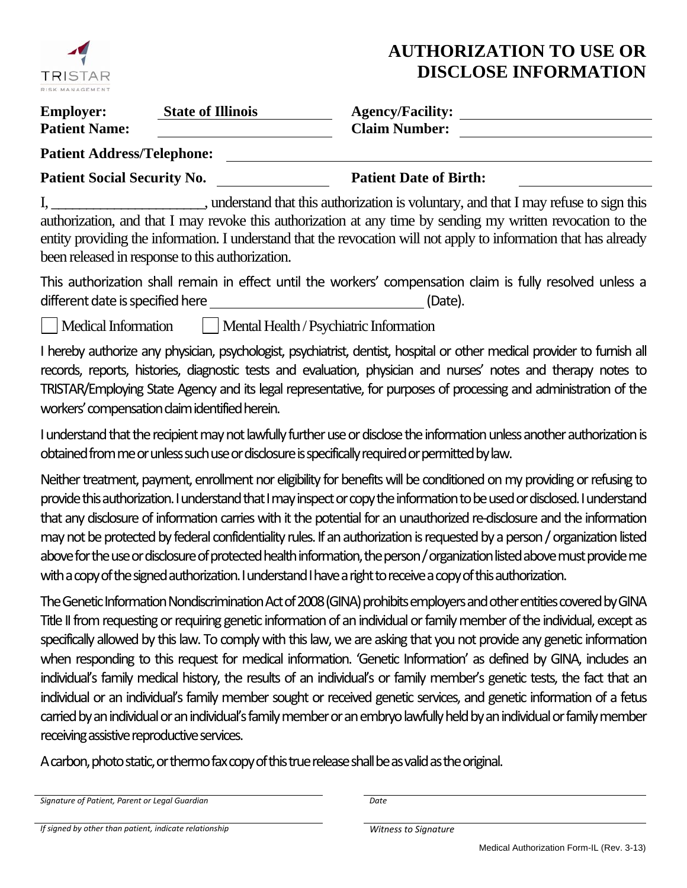

# **AUTHORIZATION TO USE OR DISCLOSE INFORMATION**

| <b>Employer:</b>                  | <b>State of Illinois</b> | <b>Agency/Facility:</b> |  |
|-----------------------------------|--------------------------|-------------------------|--|
| <b>Patient Name:</b>              |                          | <b>Claim Number:</b>    |  |
| <b>Patient Address/Telephone:</b> |                          |                         |  |

Patient Social Security No. Patient Date of Birth:

I, \_\_\_\_\_\_\_\_\_\_\_\_\_\_\_\_\_\_\_\_\_\_, understand that this authorization is voluntary, and that I may refuse to sign this authorization, and that I may revoke this authorization at any time by sending my written revocation to the entity providing the information. I understand that the revocation will not apply to information that has already been released in response to this authorization.

This authorization shall remain in effect until the workers' compensation claim is fully resolved unless a different date is specified here **Manual Equation** (Date).

Medical Information Mental Health / Psychiatric Information

I hereby authorize any physician, psychologist, psychiatrist, dentist, hospital or other medical provider to furnish all records, reports, histories, diagnostic tests and evaluation, physician and nurses' notes and therapy notes to TRISTAR/Employing State Agency and its legal representative, for purposes of processing and administration of the workers' compensation claim identified herein.

I understand that the recipient may not lawfully further use or disclose the information unless another authorization is obtained from me or unless such use or disclosure is specifically required or permitted by law.

Neither treatment, payment, enrollment nor eligibility for benefits will be conditioned on my providing or refusing to provide this authorization. I understand that I may inspect or copy the information to be used or disclosed. I understand that any disclosure of information carries with it the potential for an unauthorized re-disclosure and the information may not be protected by federal confidentiality rules. If an authorization is requested by a person / organization listed above for the use or disclosure of protected health information, the person / organization listed above must provide me with a copy of the signed authorization. I understand I have a right to receive a copy of this authorization.

The Genetic Information Nondiscrimination Act of 2008 (GINA) prohibits employers and other entities covered by GINA Title II from requesting or requiring genetic information of an individual or family member of the individual, except as specifically allowed by this law. To comply with this law, we are asking that you not provide any genetic information when responding to this request for medical information. 'Genetic Information' as defined by GINA, includes an individual's family medical history, the results of an individual's or family member's genetic tests, the fact that an individual or an individual's family member sought or received genetic services, and genetic information of a fetus carried by an individual or an individual's family member or an embryo lawfully held by an individual or family member receiving assistive reproductive services.

A carbon, photo static, or thermo fax copy of this true release shall be as valid as the original.

*Signature of Patient, Parent or Legal Guardian Date*

*If signed by other than patient, indicate relationship Witness to Signature*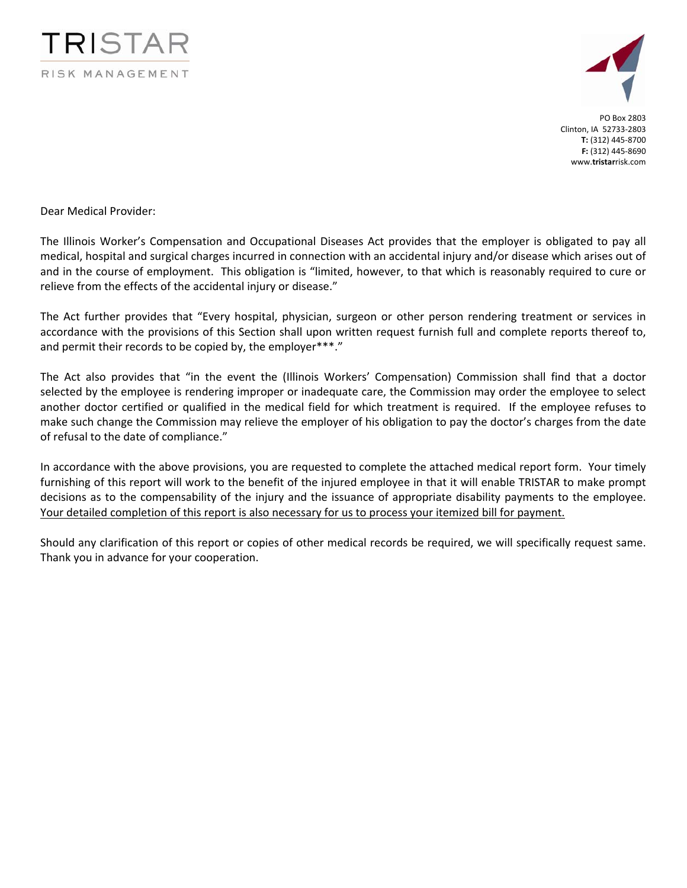



PO Box 2803 Clinton, IA 52733‐2803 **T:** (312) 445‐8700 **F:** (312) 445‐8690 www.**tristar**risk.com

Dear Medical Provider:

The Illinois Worker's Compensation and Occupational Diseases Act provides that the employer is obligated to pay all medical, hospital and surgical charges incurred in connection with an accidental injury and/or disease which arises out of and in the course of employment. This obligation is "limited, however, to that which is reasonably required to cure or relieve from the effects of the accidental injury or disease."

The Act further provides that "Every hospital, physician, surgeon or other person rendering treatment or services in accordance with the provisions of this Section shall upon written request furnish full and complete reports thereof to, and permit their records to be copied by, the employer\*\*\*."

The Act also provides that "in the event the (Illinois Workers' Compensation) Commission shall find that a doctor selected by the employee is rendering improper or inadequate care, the Commission may order the employee to select another doctor certified or qualified in the medical field for which treatment is required. If the employee refuses to make such change the Commission may relieve the employer of his obligation to pay the doctor's charges from the date of refusal to the date of compliance."

In accordance with the above provisions, you are requested to complete the attached medical report form. Your timely furnishing of this report will work to the benefit of the injured employee in that it will enable TRISTAR to make prompt decisions as to the compensability of the injury and the issuance of appropriate disability payments to the employee. Your detailed completion of this report is also necessary for us to process your itemized bill for payment.

Should any clarification of this report or copies of other medical records be required, we will specifically request same. Thank you in advance for your cooperation.